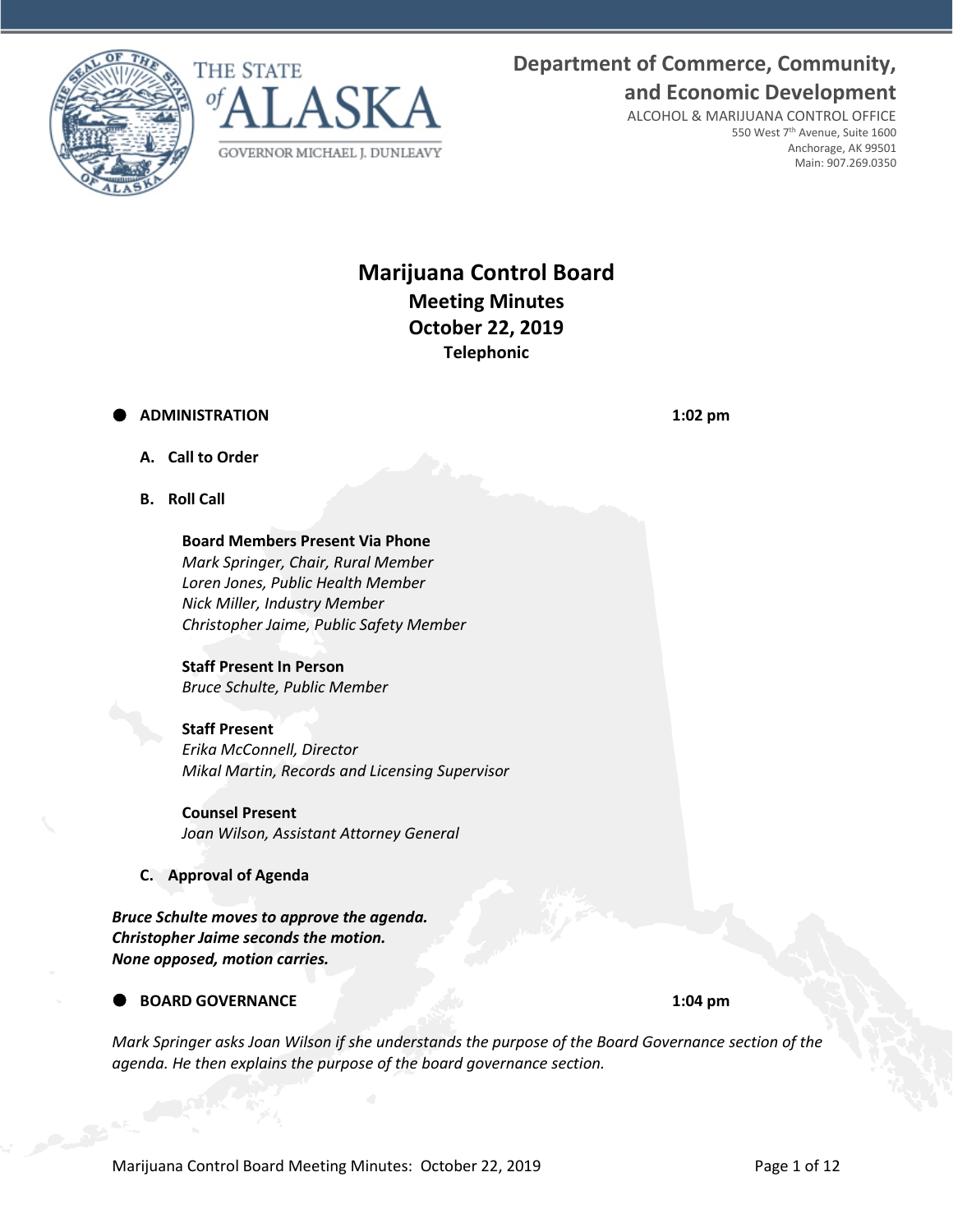



# **Department of Commerce, Community, and Economic Development**

ALCOHOL & MARIJUANA CONTROL OFFICE 550 West 7th Avenue, Suite 1600 Anchorage, AK 99501 Main: 907.269.0350

## **Marijuana Control Board Meeting Minutes October 22, 2019 Telephonic**

## **ADMINISTRATION 1:02 pm**

- **A. Call to Order**
- **B. Roll Call**

**Board Members Present Via Phone** *Mark Springer, Chair, Rural Member Loren Jones, Public Health Member Nick Miller, Industry Member Christopher Jaime, Public Safety Member*

## **Staff Present In Person**

*Bruce Schulte, Public Member*

## **Staff Present**

*Erika McConnell, Director Mikal Martin, Records and Licensing Supervisor*

**Counsel Present** *Joan Wilson, Assistant Attorney General*

**C. Approval of Agenda**

*Bruce Schulte moves to approve the agenda. Christopher Jaime seconds the motion. None opposed, motion carries.*

## **BOARD GOVERNANCE 1:04 pm**

*Mark Springer asks Joan Wilson if she understands the purpose of the Board Governance section of the agenda. He then explains the purpose of the board governance section.*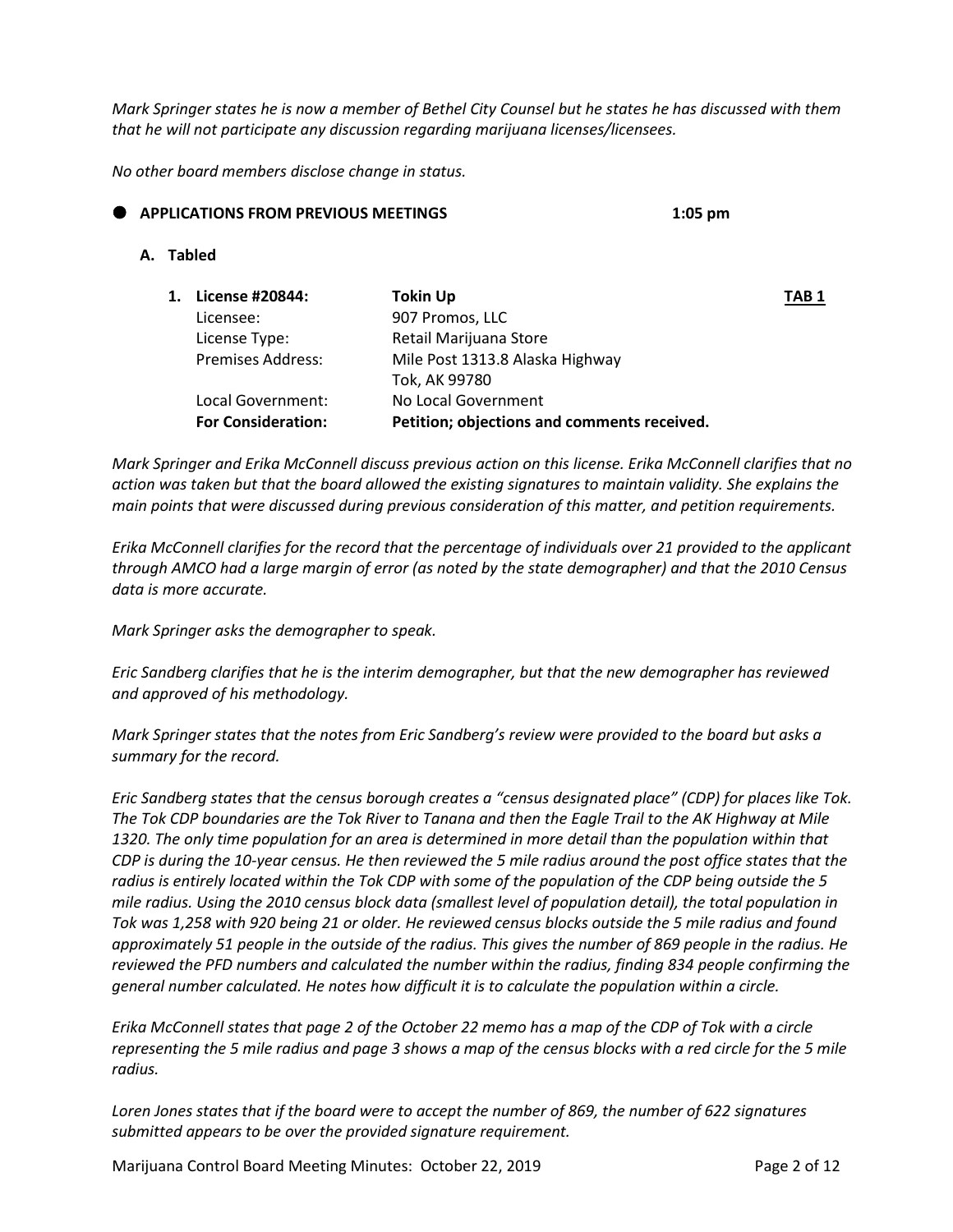*Mark Springer states he is now a member of Bethel City Counsel but he states he has discussed with them that he will not participate any discussion regarding marijuana licenses/licensees.* 

*No other board members disclose change in status.*

## **APPLICATIONS FROM PREVIOUS MEETINGS 1:05 pm**

#### **A. Tabled**

| 1. | License #20844:           | <b>Tokin Up</b>                             | TAB 1 |
|----|---------------------------|---------------------------------------------|-------|
|    | Licensee:                 | 907 Promos, LLC                             |       |
|    | License Type:             | Retail Marijuana Store                      |       |
|    | <b>Premises Address:</b>  | Mile Post 1313.8 Alaska Highway             |       |
|    |                           | Tok, AK 99780                               |       |
|    | Local Government:         | No Local Government                         |       |
|    | <b>For Consideration:</b> | Petition; objections and comments received. |       |

*Mark Springer and Erika McConnell discuss previous action on this license. Erika McConnell clarifies that no action was taken but that the board allowed the existing signatures to maintain validity. She explains the main points that were discussed during previous consideration of this matter, and petition requirements.* 

*Erika McConnell clarifies for the record that the percentage of individuals over 21 provided to the applicant through AMCO had a large margin of error (as noted by the state demographer) and that the 2010 Census data is more accurate.*

*Mark Springer asks the demographer to speak.* 

*Eric Sandberg clarifies that he is the interim demographer, but that the new demographer has reviewed and approved of his methodology.*

*Mark Springer states that the notes from Eric Sandberg's review were provided to the board but asks a summary for the record.* 

*Eric Sandberg states that the census borough creates a "census designated place" (CDP) for places like Tok. The Tok CDP boundaries are the Tok River to Tanana and then the Eagle Trail to the AK Highway at Mile 1320. The only time population for an area is determined in more detail than the population within that CDP is during the 10-year census. He then reviewed the 5 mile radius around the post office states that the radius is entirely located within the Tok CDP with some of the population of the CDP being outside the 5 mile radius. Using the 2010 census block data (smallest level of population detail), the total population in Tok was 1,258 with 920 being 21 or older. He reviewed census blocks outside the 5 mile radius and found approximately 51 people in the outside of the radius. This gives the number of 869 people in the radius. He reviewed the PFD numbers and calculated the number within the radius, finding 834 people confirming the general number calculated. He notes how difficult it is to calculate the population within a circle.* 

*Erika McConnell states that page 2 of the October 22 memo has a map of the CDP of Tok with a circle representing the 5 mile radius and page 3 shows a map of the census blocks with a red circle for the 5 mile radius.*

*Loren Jones states that if the board were to accept the number of 869, the number of 622 signatures submitted appears to be over the provided signature requirement.* 

Marijuana Control Board Meeting Minutes: October 22, 2019 **Page 2 of 12** Page 2 of 12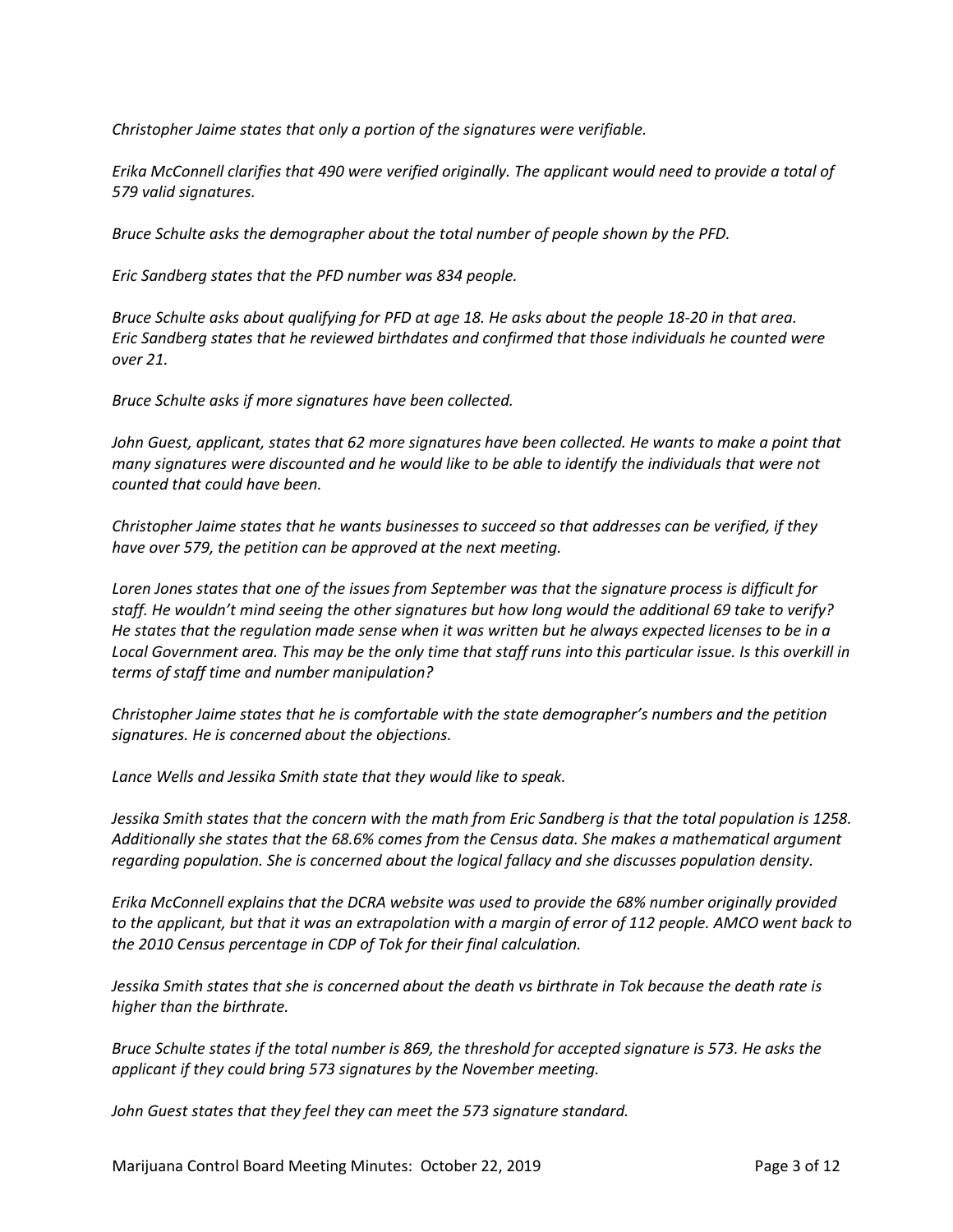*Christopher Jaime states that only a portion of the signatures were verifiable.*

*Erika McConnell clarifies that 490 were verified originally. The applicant would need to provide a total of 579 valid signatures.* 

*Bruce Schulte asks the demographer about the total number of people shown by the PFD.* 

*Eric Sandberg states that the PFD number was 834 people.*

*Bruce Schulte asks about qualifying for PFD at age 18. He asks about the people 18-20 in that area. Eric Sandberg states that he reviewed birthdates and confirmed that those individuals he counted were over 21.* 

*Bruce Schulte asks if more signatures have been collected.* 

*John Guest, applicant, states that 62 more signatures have been collected. He wants to make a point that many signatures were discounted and he would like to be able to identify the individuals that were not counted that could have been.* 

*Christopher Jaime states that he wants businesses to succeed so that addresses can be verified, if they have over 579, the petition can be approved at the next meeting.* 

*Loren Jones states that one of the issues from September was that the signature process is difficult for staff. He wouldn't mind seeing the other signatures but how long would the additional 69 take to verify? He states that the regulation made sense when it was written but he always expected licenses to be in a Local Government area. This may be the only time that staff runs into this particular issue. Is this overkill in terms of staff time and number manipulation?*

*Christopher Jaime states that he is comfortable with the state demographer's numbers and the petition signatures. He is concerned about the objections.* 

*Lance Wells and Jessika Smith state that they would like to speak.* 

*Jessika Smith states that the concern with the math from Eric Sandberg is that the total population is 1258. Additionally she states that the 68.6% comes from the Census data. She makes a mathematical argument regarding population. She is concerned about the logical fallacy and she discusses population density.* 

*Erika McConnell explains that the DCRA website was used to provide the 68% number originally provided to the applicant, but that it was an extrapolation with a margin of error of 112 people. AMCO went back to the 2010 Census percentage in CDP of Tok for their final calculation.* 

*Jessika Smith states that she is concerned about the death vs birthrate in Tok because the death rate is higher than the birthrate.* 

*Bruce Schulte states if the total number is 869, the threshold for accepted signature is 573. He asks the applicant if they could bring 573 signatures by the November meeting.* 

*John Guest states that they feel they can meet the 573 signature standard.*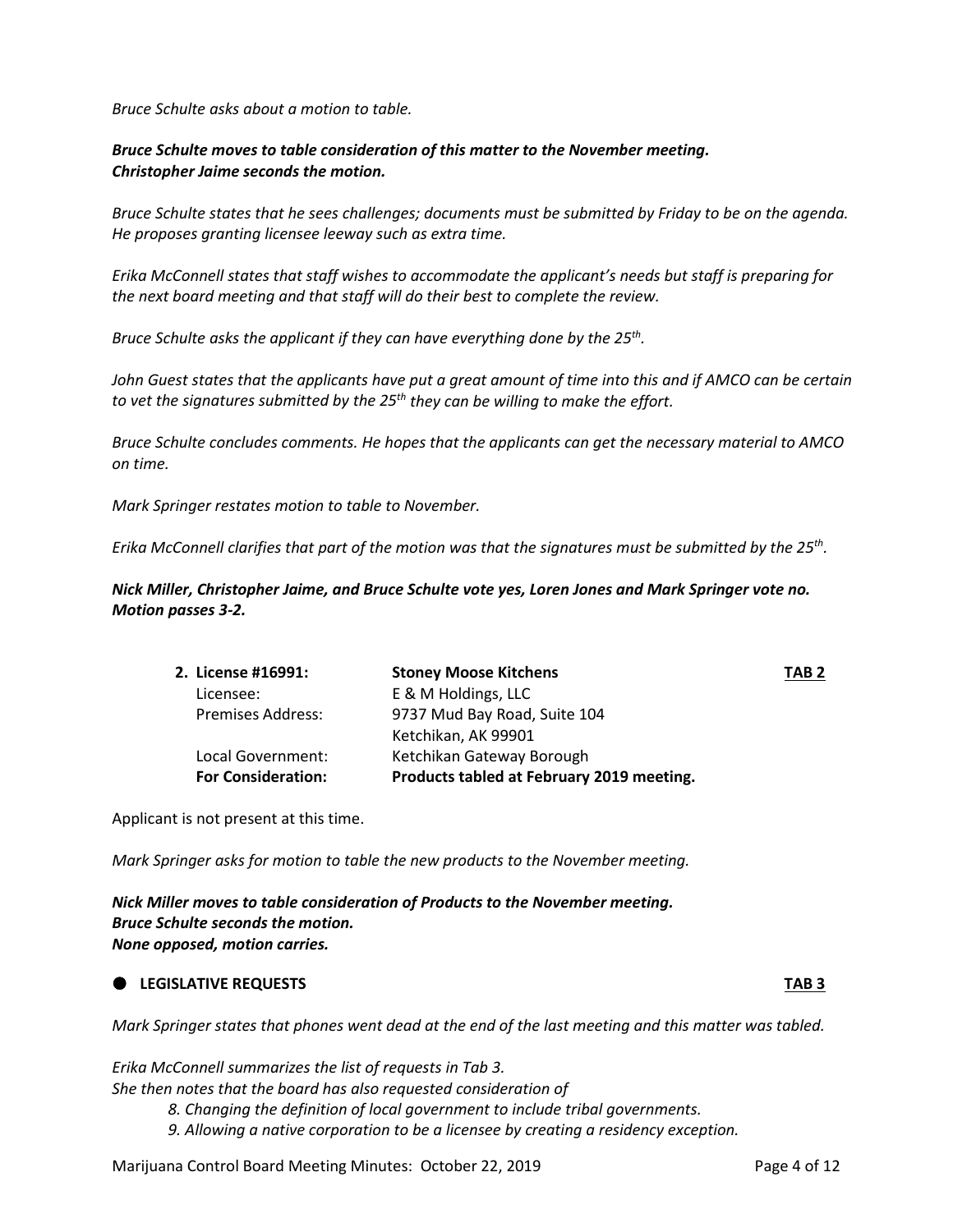*Bruce Schulte asks about a motion to table.*

## *Bruce Schulte moves to table consideration of this matter to the November meeting. Christopher Jaime seconds the motion.*

*Bruce Schulte states that he sees challenges; documents must be submitted by Friday to be on the agenda. He proposes granting licensee leeway such as extra time.* 

*Erika McConnell states that staff wishes to accommodate the applicant's needs but staff is preparing for the next board meeting and that staff will do their best to complete the review.* 

*Bruce Schulte asks the applicant if they can have everything done by the 25th.* 

*John Guest states that the applicants have put a great amount of time into this and if AMCO can be certain to vet the signatures submitted by the 25th they can be willing to make the effort.* 

*Bruce Schulte concludes comments. He hopes that the applicants can get the necessary material to AMCO on time.*

*Mark Springer restates motion to table to November.* 

*Erika McConnell clarifies that part of the motion was that the signatures must be submitted by the 25th.*

*Nick Miller, Christopher Jaime, and Bruce Schulte vote yes, Loren Jones and Mark Springer vote no. Motion passes 3-2.*

| 2. License #16991:        | <b>Stoney Moose Kitchens</b>              | TAB <sub>2</sub> |
|---------------------------|-------------------------------------------|------------------|
| Licensee:                 | E & M Holdings, LLC                       |                  |
| <b>Premises Address:</b>  | 9737 Mud Bay Road, Suite 104              |                  |
|                           | Ketchikan, AK 99901                       |                  |
| Local Government:         | Ketchikan Gateway Borough                 |                  |
| <b>For Consideration:</b> | Products tabled at February 2019 meeting. |                  |
|                           |                                           |                  |

Applicant is not present at this time.

*Mark Springer asks for motion to table the new products to the November meeting.*

*Nick Miller moves to table consideration of Products to the November meeting. Bruce Schulte seconds the motion. None opposed, motion carries.*

#### **LEGISLATIVE REQUESTS TAB 3**

*Mark Springer states that phones went dead at the end of the last meeting and this matter was tabled.* 

*Erika McConnell summarizes the list of requests in Tab 3. She then notes that the board has also requested consideration of 8. Changing the definition of local government to include tribal governments.*

*9. Allowing a native corporation to be a licensee by creating a residency exception.*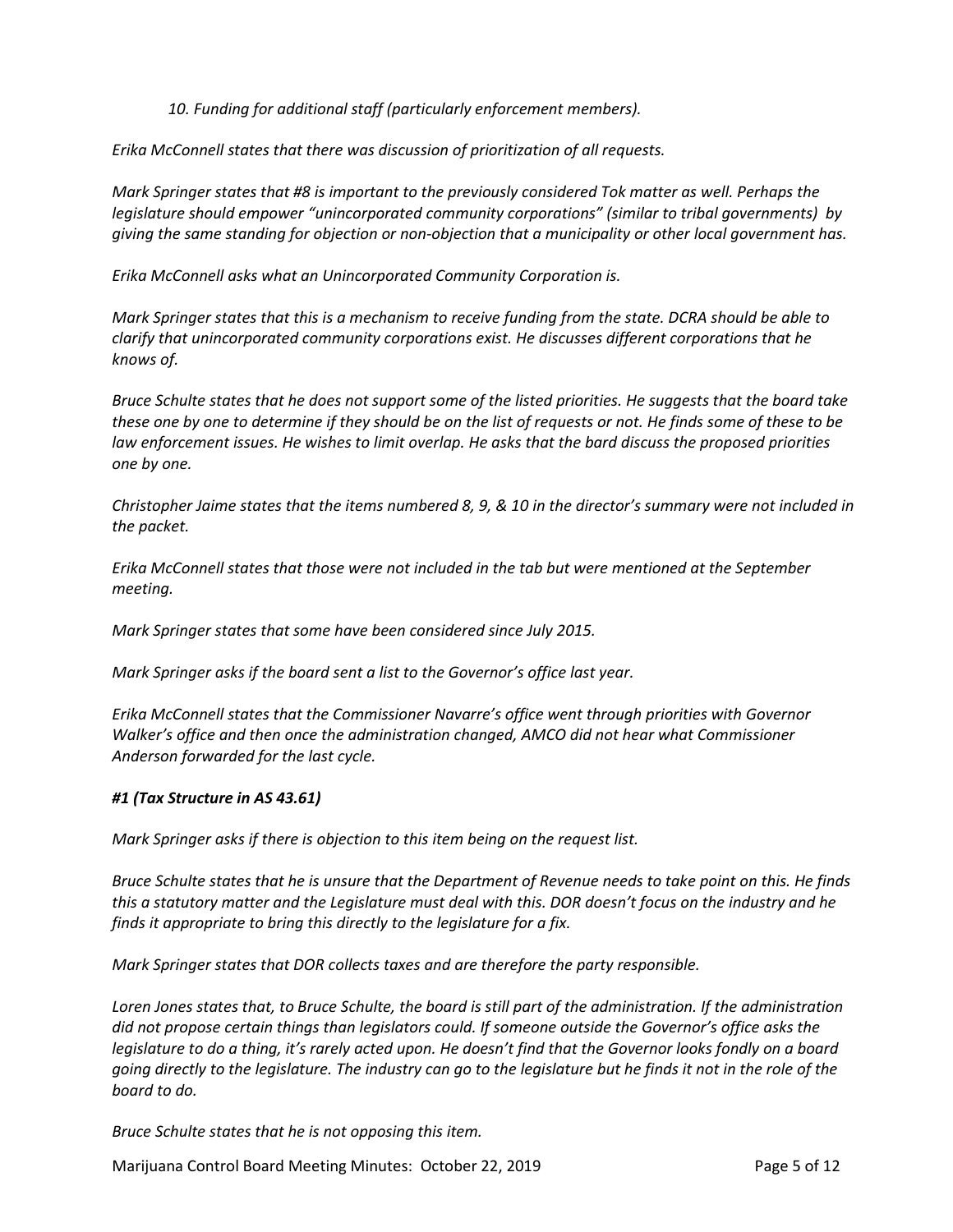*10. Funding for additional staff (particularly enforcement members).*

*Erika McConnell states that there was discussion of prioritization of all requests.*

*Mark Springer states that #8 is important to the previously considered Tok matter as well. Perhaps the legislature should empower "unincorporated community corporations" (similar to tribal governments) by giving the same standing for objection or non-objection that a municipality or other local government has.* 

*Erika McConnell asks what an Unincorporated Community Corporation is.*

*Mark Springer states that this is a mechanism to receive funding from the state. DCRA should be able to clarify that unincorporated community corporations exist. He discusses different corporations that he knows of.* 

*Bruce Schulte states that he does not support some of the listed priorities. He suggests that the board take these one by one to determine if they should be on the list of requests or not. He finds some of these to be law enforcement issues. He wishes to limit overlap. He asks that the bard discuss the proposed priorities one by one.*

*Christopher Jaime states that the items numbered 8, 9, & 10 in the director's summary were not included in the packet.* 

*Erika McConnell states that those were not included in the tab but were mentioned at the September meeting.* 

*Mark Springer states that some have been considered since July 2015.* 

*Mark Springer asks if the board sent a list to the Governor's office last year.*

*Erika McConnell states that the Commissioner Navarre's office went through priorities with Governor Walker's office and then once the administration changed, AMCO did not hear what Commissioner Anderson forwarded for the last cycle.* 

## *#1 (Tax Structure in AS 43.61)*

*Mark Springer asks if there is objection to this item being on the request list.* 

*Bruce Schulte states that he is unsure that the Department of Revenue needs to take point on this. He finds this a statutory matter and the Legislature must deal with this. DOR doesn't focus on the industry and he finds it appropriate to bring this directly to the legislature for a fix.* 

*Mark Springer states that DOR collects taxes and are therefore the party responsible.* 

*Loren Jones states that, to Bruce Schulte, the board is still part of the administration. If the administration did not propose certain things than legislators could. If someone outside the Governor's office asks the legislature to do a thing, it's rarely acted upon. He doesn't find that the Governor looks fondly on a board going directly to the legislature. The industry can go to the legislature but he finds it not in the role of the board to do.* 

*Bruce Schulte states that he is not opposing this item.*

Marijuana Control Board Meeting Minutes: October 22, 2019 **Page 5 of 12** Page 5 of 12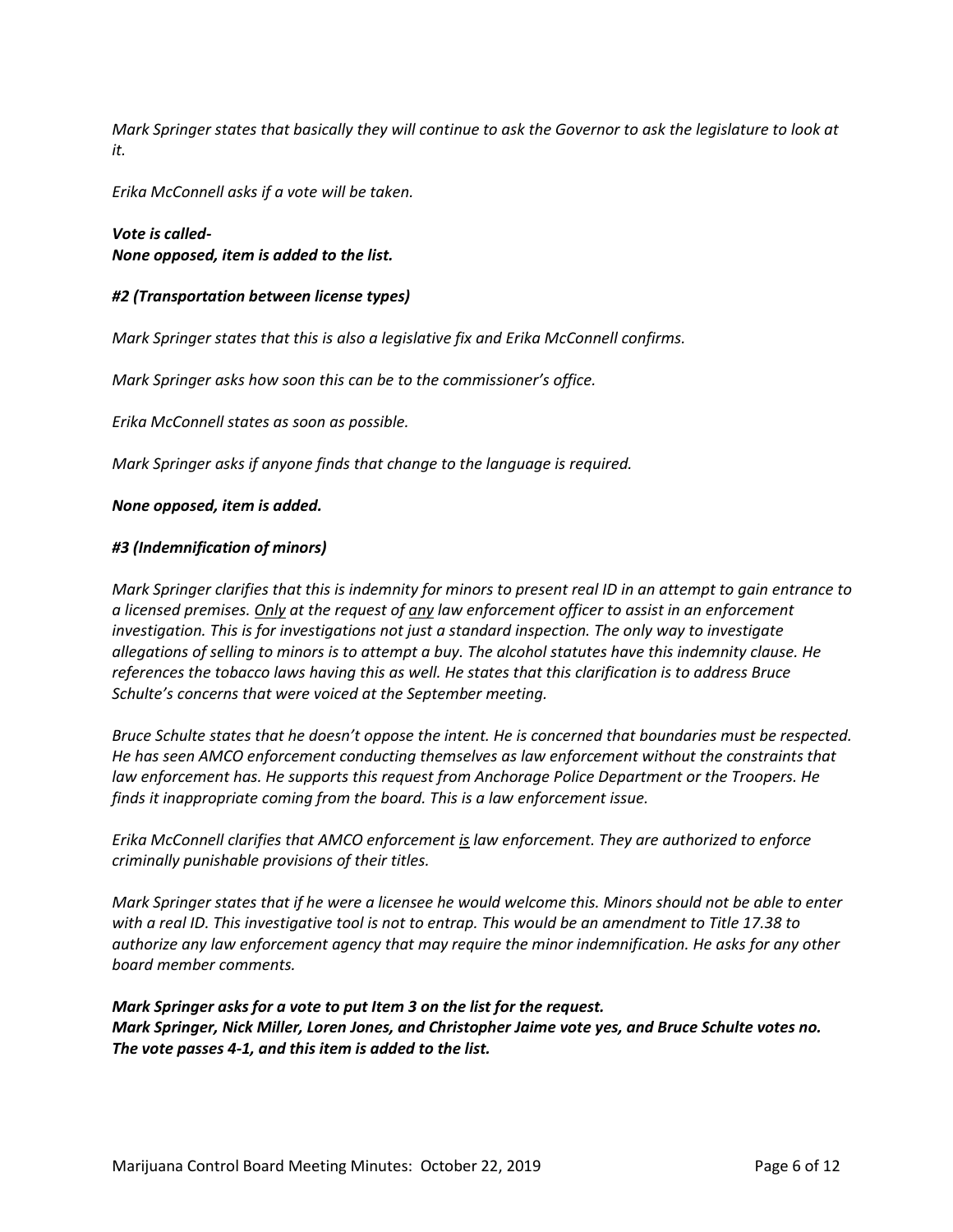*Mark Springer states that basically they will continue to ask the Governor to ask the legislature to look at it.* 

*Erika McConnell asks if a vote will be taken.*

*Vote is called-None opposed, item is added to the list.* 

#### *#2 (Transportation between license types)*

*Mark Springer states that this is also a legislative fix and Erika McConnell confirms.*

*Mark Springer asks how soon this can be to the commissioner's office.* 

*Erika McConnell states as soon as possible.*

*Mark Springer asks if anyone finds that change to the language is required.* 

#### *None opposed, item is added.*

#### *#3 (Indemnification of minors)*

*Mark Springer clarifies that this is indemnity for minors to present real ID in an attempt to gain entrance to a licensed premises. Only at the request of any law enforcement officer to assist in an enforcement investigation. This is for investigations not just a standard inspection. The only way to investigate allegations of selling to minors is to attempt a buy. The alcohol statutes have this indemnity clause. He references the tobacco laws having this as well. He states that this clarification is to address Bruce Schulte's concerns that were voiced at the September meeting.*

*Bruce Schulte states that he doesn't oppose the intent. He is concerned that boundaries must be respected. He has seen AMCO enforcement conducting themselves as law enforcement without the constraints that law enforcement has. He supports this request from Anchorage Police Department or the Troopers. He finds it inappropriate coming from the board. This is a law enforcement issue.*

*Erika McConnell clarifies that AMCO enforcement is law enforcement. They are authorized to enforce criminally punishable provisions of their titles.* 

*Mark Springer states that if he were a licensee he would welcome this. Minors should not be able to enter with a real ID. This investigative tool is not to entrap. This would be an amendment to Title 17.38 to authorize any law enforcement agency that may require the minor indemnification. He asks for any other board member comments.* 

## *Mark Springer asks for a vote to put Item 3 on the list for the request. Mark Springer, Nick Miller, Loren Jones, and Christopher Jaime vote yes, and Bruce Schulte votes no. The vote passes 4-1, and this item is added to the list.*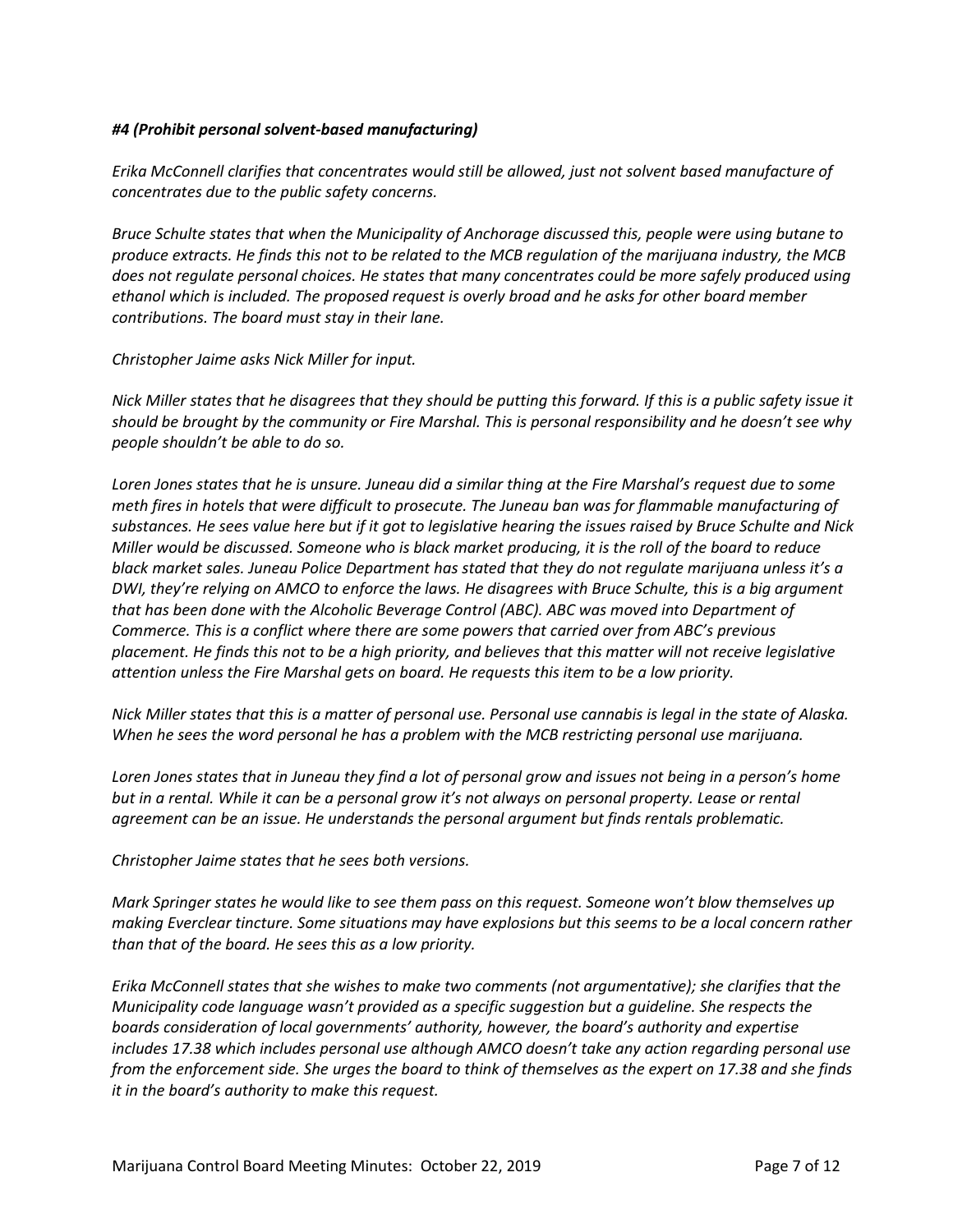#### *#4 (Prohibit personal solvent-based manufacturing)*

*Erika McConnell clarifies that concentrates would still be allowed, just not solvent based manufacture of concentrates due to the public safety concerns.* 

*Bruce Schulte states that when the Municipality of Anchorage discussed this, people were using butane to produce extracts. He finds this not to be related to the MCB regulation of the marijuana industry, the MCB does not regulate personal choices. He states that many concentrates could be more safely produced using ethanol which is included. The proposed request is overly broad and he asks for other board member contributions. The board must stay in their lane.*

*Christopher Jaime asks Nick Miller for input.*

*Nick Miller states that he disagrees that they should be putting this forward. If this is a public safety issue it should be brought by the community or Fire Marshal. This is personal responsibility and he doesn't see why people shouldn't be able to do so.* 

*Loren Jones states that he is unsure. Juneau did a similar thing at the Fire Marshal's request due to some meth fires in hotels that were difficult to prosecute. The Juneau ban was for flammable manufacturing of substances. He sees value here but if it got to legislative hearing the issues raised by Bruce Schulte and Nick Miller would be discussed. Someone who is black market producing, it is the roll of the board to reduce black market sales. Juneau Police Department has stated that they do not regulate marijuana unless it's a DWI, they're relying on AMCO to enforce the laws. He disagrees with Bruce Schulte, this is a big argument that has been done with the Alcoholic Beverage Control (ABC). ABC was moved into Department of Commerce. This is a conflict where there are some powers that carried over from ABC's previous placement. He finds this not to be a high priority, and believes that this matter will not receive legislative attention unless the Fire Marshal gets on board. He requests this item to be a low priority.* 

*Nick Miller states that this is a matter of personal use. Personal use cannabis is legal in the state of Alaska. When he sees the word personal he has a problem with the MCB restricting personal use marijuana.* 

*Loren Jones states that in Juneau they find a lot of personal grow and issues not being in a person's home but in a rental. While it can be a personal grow it's not always on personal property. Lease or rental agreement can be an issue. He understands the personal argument but finds rentals problematic.* 

*Christopher Jaime states that he sees both versions.* 

*Mark Springer states he would like to see them pass on this request. Someone won't blow themselves up making Everclear tincture. Some situations may have explosions but this seems to be a local concern rather than that of the board. He sees this as a low priority.* 

*Erika McConnell states that she wishes to make two comments (not argumentative); she clarifies that the Municipality code language wasn't provided as a specific suggestion but a guideline. She respects the boards consideration of local governments' authority, however, the board's authority and expertise includes 17.38 which includes personal use although AMCO doesn't take any action regarding personal use from the enforcement side. She urges the board to think of themselves as the expert on 17.38 and she finds it in the board's authority to make this request.*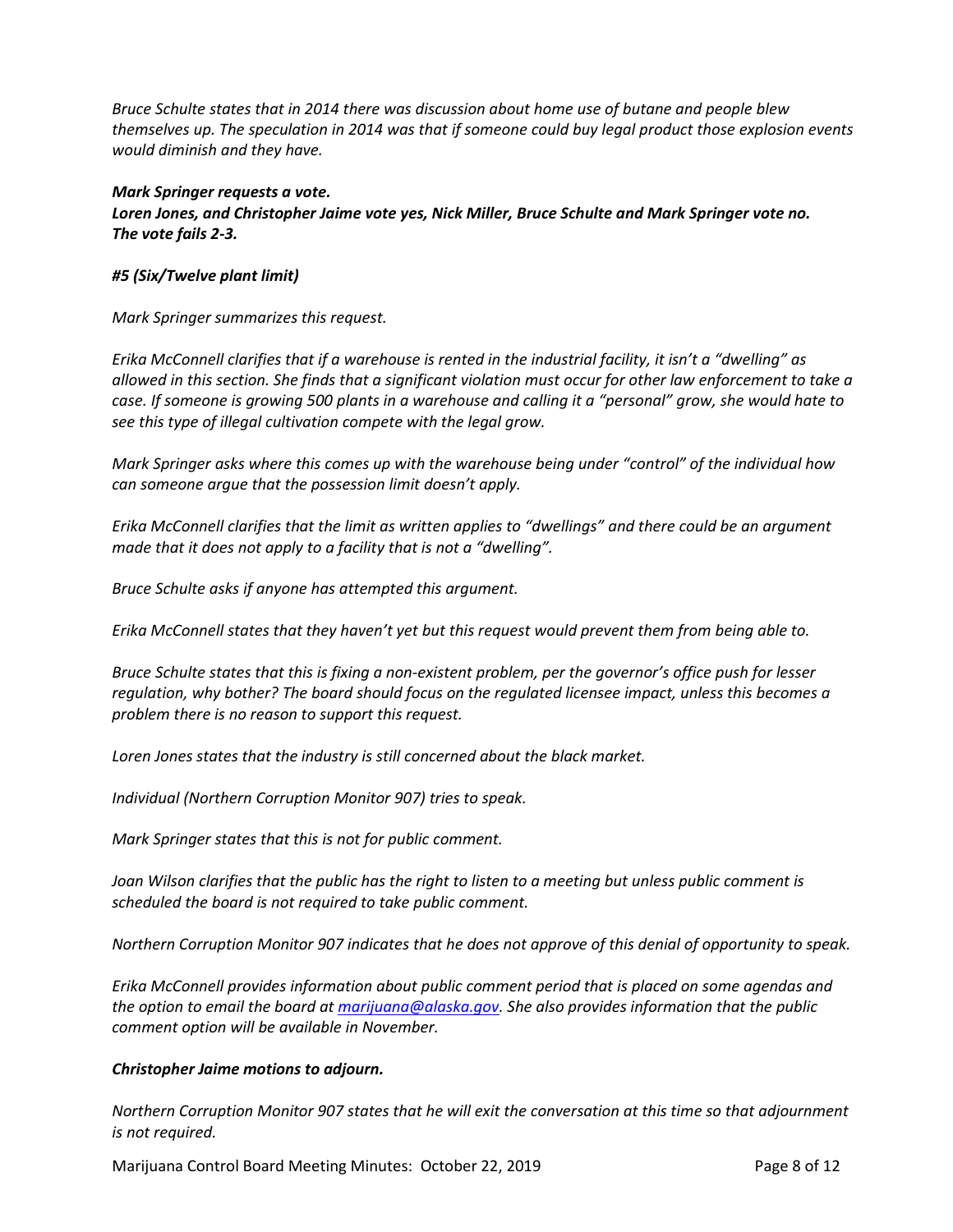*Bruce Schulte states that in 2014 there was discussion about home use of butane and people blew themselves up. The speculation in 2014 was that if someone could buy legal product those explosion events would diminish and they have.* 

#### *Mark Springer requests a vote.*

*Loren Jones, and Christopher Jaime vote yes, Nick Miller, Bruce Schulte and Mark Springer vote no. The vote fails 2-3.*

#### *#5 (Six/Twelve plant limit)*

*Mark Springer summarizes this request.* 

*Erika McConnell clarifies that if a warehouse is rented in the industrial facility, it isn't a "dwelling" as allowed in this section. She finds that a significant violation must occur for other law enforcement to take a case. If someone is growing 500 plants in a warehouse and calling it a "personal" grow, she would hate to see this type of illegal cultivation compete with the legal grow.* 

*Mark Springer asks where this comes up with the warehouse being under "control" of the individual how can someone argue that the possession limit doesn't apply.* 

*Erika McConnell clarifies that the limit as written applies to "dwellings" and there could be an argument made that it does not apply to a facility that is not a "dwelling".* 

*Bruce Schulte asks if anyone has attempted this argument.*

*Erika McConnell states that they haven't yet but this request would prevent them from being able to.*

*Bruce Schulte states that this is fixing a non-existent problem, per the governor's office push for lesser regulation, why bother? The board should focus on the regulated licensee impact, unless this becomes a problem there is no reason to support this request.*

*Loren Jones states that the industry is still concerned about the black market.* 

*Individual (Northern Corruption Monitor 907) tries to speak.* 

*Mark Springer states that this is not for public comment.* 

*Joan Wilson clarifies that the public has the right to listen to a meeting but unless public comment is scheduled the board is not required to take public comment.* 

*Northern Corruption Monitor 907 indicates that he does not approve of this denial of opportunity to speak.* 

*Erika McConnell provides information about public comment period that is placed on some agendas and the option to email the board at [marijuana@alaska.gov.](mailto:marijuana@alaska.gov) She also provides information that the public comment option will be available in November.* 

## *Christopher Jaime motions to adjourn.*

*Northern Corruption Monitor 907 states that he will exit the conversation at this time so that adjournment is not required.* 

Marijuana Control Board Meeting Minutes: October 22, 2019 **Page 8 of 12** Page 8 of 12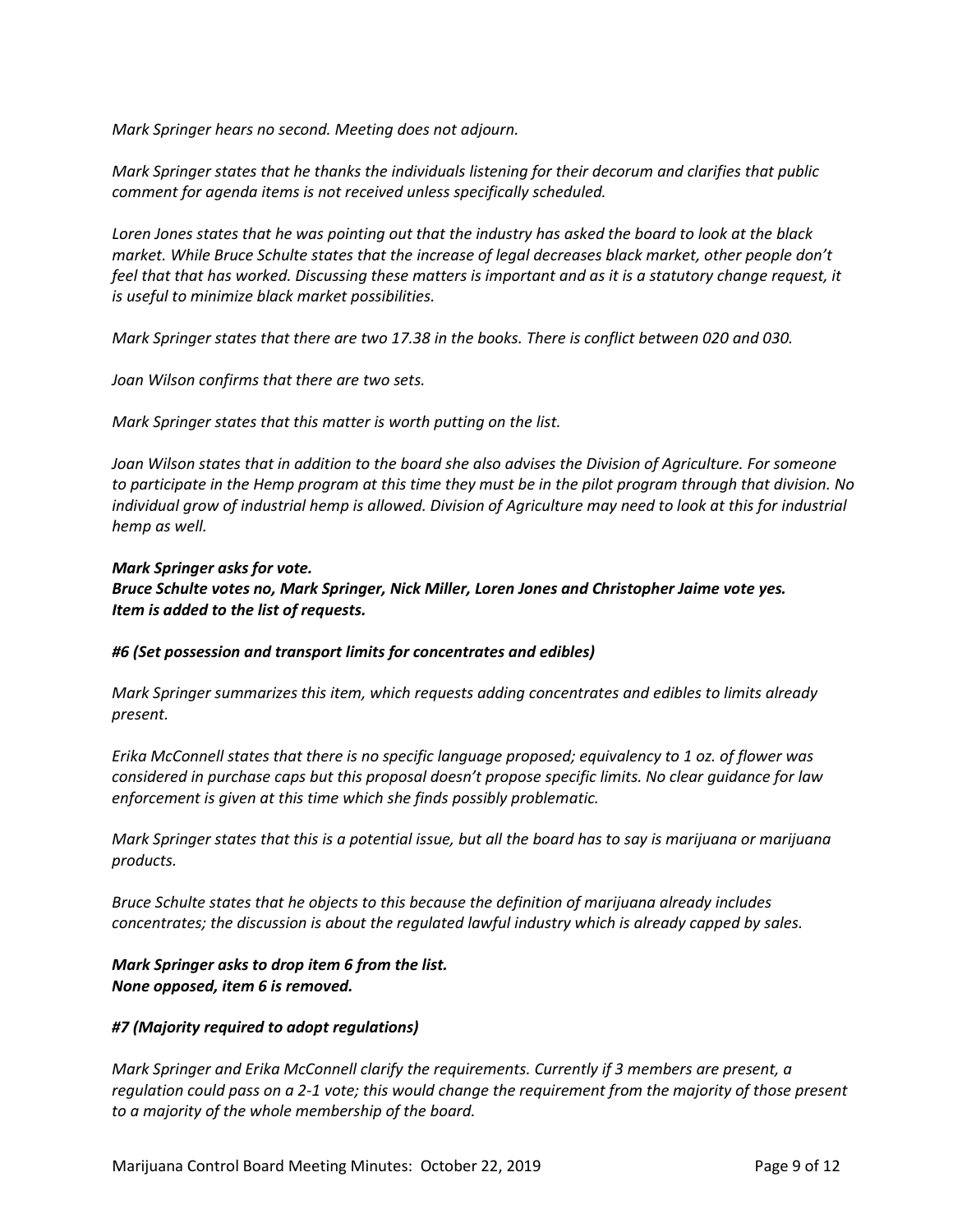*Mark Springer hears no second. Meeting does not adjourn.* 

*Mark Springer states that he thanks the individuals listening for their decorum and clarifies that public comment for agenda items is not received unless specifically scheduled.* 

*Loren Jones states that he was pointing out that the industry has asked the board to look at the black market. While Bruce Schulte states that the increase of legal decreases black market, other people don't feel that that has worked. Discussing these matters is important and as it is a statutory change request, it is useful to minimize black market possibilities.* 

*Mark Springer states that there are two 17.38 in the books. There is conflict between 020 and 030.* 

*Joan Wilson confirms that there are two sets.* 

*Mark Springer states that this matter is worth putting on the list.*

*Joan Wilson states that in addition to the board she also advises the Division of Agriculture. For someone to participate in the Hemp program at this time they must be in the pilot program through that division. No individual grow of industrial hemp is allowed. Division of Agriculture may need to look at this for industrial hemp as well.*

#### *Mark Springer asks for vote. Bruce Schulte votes no, Mark Springer, Nick Miller, Loren Jones and Christopher Jaime vote yes. Item is added to the list of requests.*

#### *#6 (Set possession and transport limits for concentrates and edibles)*

*Mark Springer summarizes this item, which requests adding concentrates and edibles to limits already present.* 

*Erika McConnell states that there is no specific language proposed; equivalency to 1 oz. of flower was considered in purchase caps but this proposal doesn't propose specific limits. No clear guidance for law enforcement is given at this time which she finds possibly problematic.* 

*Mark Springer states that this is a potential issue, but all the board has to say is marijuana or marijuana products.*

*Bruce Schulte states that he objects to this because the definition of marijuana already includes concentrates; the discussion is about the regulated lawful industry which is already capped by sales.* 

*Mark Springer asks to drop item 6 from the list. None opposed, item 6 is removed.* 

#### *#7 (Majority required to adopt regulations)*

*Mark Springer and Erika McConnell clarify the requirements. Currently if 3 members are present, a regulation could pass on a 2-1 vote; this would change the requirement from the majority of those present to a majority of the whole membership of the board.*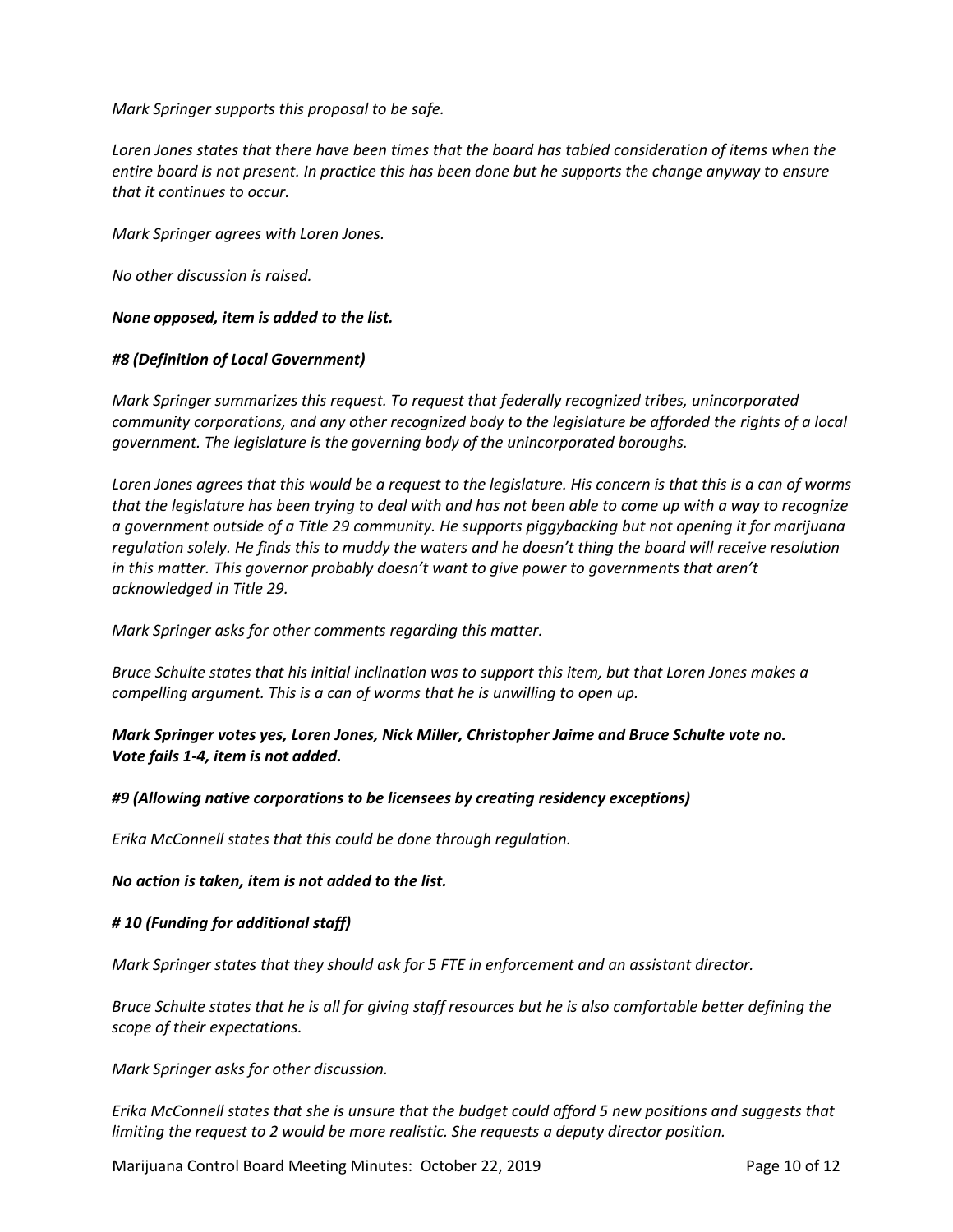*Mark Springer supports this proposal to be safe.*

*Loren Jones states that there have been times that the board has tabled consideration of items when the entire board is not present. In practice this has been done but he supports the change anyway to ensure that it continues to occur.* 

*Mark Springer agrees with Loren Jones.*

*No other discussion is raised.*

*None opposed, item is added to the list.*

#### *#8 (Definition of Local Government)*

*Mark Springer summarizes this request. To request that federally recognized tribes, unincorporated community corporations, and any other recognized body to the legislature be afforded the rights of a local government. The legislature is the governing body of the unincorporated boroughs.*

*Loren Jones agrees that this would be a request to the legislature. His concern is that this is a can of worms that the legislature has been trying to deal with and has not been able to come up with a way to recognize a government outside of a Title 29 community. He supports piggybacking but not opening it for marijuana regulation solely. He finds this to muddy the waters and he doesn't thing the board will receive resolution in this matter. This governor probably doesn't want to give power to governments that aren't acknowledged in Title 29.* 

*Mark Springer asks for other comments regarding this matter.* 

*Bruce Schulte states that his initial inclination was to support this item, but that Loren Jones makes a compelling argument. This is a can of worms that he is unwilling to open up.* 

## *Mark Springer votes yes, Loren Jones, Nick Miller, Christopher Jaime and Bruce Schulte vote no. Vote fails 1-4, item is not added.*

#### *#9 (Allowing native corporations to be licensees by creating residency exceptions)*

*Erika McConnell states that this could be done through regulation.*

*No action is taken, item is not added to the list.*

#### *# 10 (Funding for additional staff)*

*Mark Springer states that they should ask for 5 FTE in enforcement and an assistant director.* 

*Bruce Schulte states that he is all for giving staff resources but he is also comfortable better defining the scope of their expectations.* 

*Mark Springer asks for other discussion.*

*Erika McConnell states that she is unsure that the budget could afford 5 new positions and suggests that limiting the request to 2 would be more realistic. She requests a deputy director position.* 

Marijuana Control Board Meeting Minutes: October 22, 2019 **Page 10 of 12** Page 10 of 12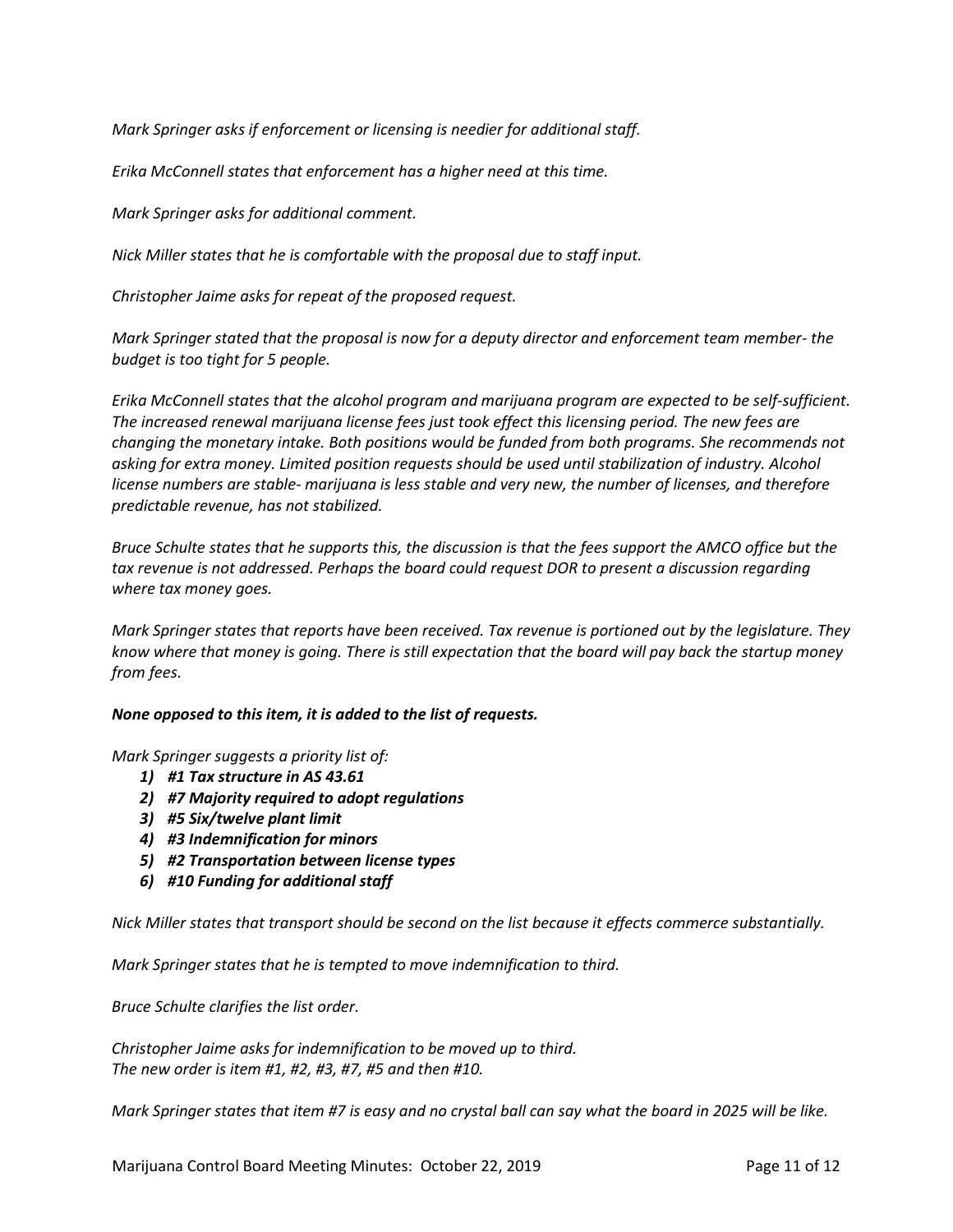*Mark Springer asks if enforcement or licensing is needier for additional staff.* 

*Erika McConnell states that enforcement has a higher need at this time.* 

*Mark Springer asks for additional comment.* 

*Nick Miller states that he is comfortable with the proposal due to staff input.*

*Christopher Jaime asks for repeat of the proposed request.*

*Mark Springer stated that the proposal is now for a deputy director and enforcement team member- the budget is too tight for 5 people.* 

*Erika McConnell states that the alcohol program and marijuana program are expected to be self-sufficient. The increased renewal marijuana license fees just took effect this licensing period. The new fees are changing the monetary intake. Both positions would be funded from both programs. She recommends not asking for extra money. Limited position requests should be used until stabilization of industry. Alcohol license numbers are stable- marijuana is less stable and very new, the number of licenses, and therefore predictable revenue, has not stabilized.* 

*Bruce Schulte states that he supports this, the discussion is that the fees support the AMCO office but the tax revenue is not addressed. Perhaps the board could request DOR to present a discussion regarding where tax money goes.*

*Mark Springer states that reports have been received. Tax revenue is portioned out by the legislature. They know where that money is going. There is still expectation that the board will pay back the startup money from fees.* 

#### *None opposed to this item, it is added to the list of requests.*

*Mark Springer suggests a priority list of:*

- *1) #1 Tax structure in AS 43.61*
- *2) #7 Majority required to adopt regulations*
- *3) #5 Six/twelve plant limit*
- *4) #3 Indemnification for minors*
- *5) #2 Transportation between license types*
- *6) #10 Funding for additional staff*

*Nick Miller states that transport should be second on the list because it effects commerce substantially.* 

*Mark Springer states that he is tempted to move indemnification to third.*

*Bruce Schulte clarifies the list order.*

*Christopher Jaime asks for indemnification to be moved up to third. The new order is item #1, #2, #3, #7, #5 and then #10.* 

*Mark Springer states that item #7 is easy and no crystal ball can say what the board in 2025 will be like.*